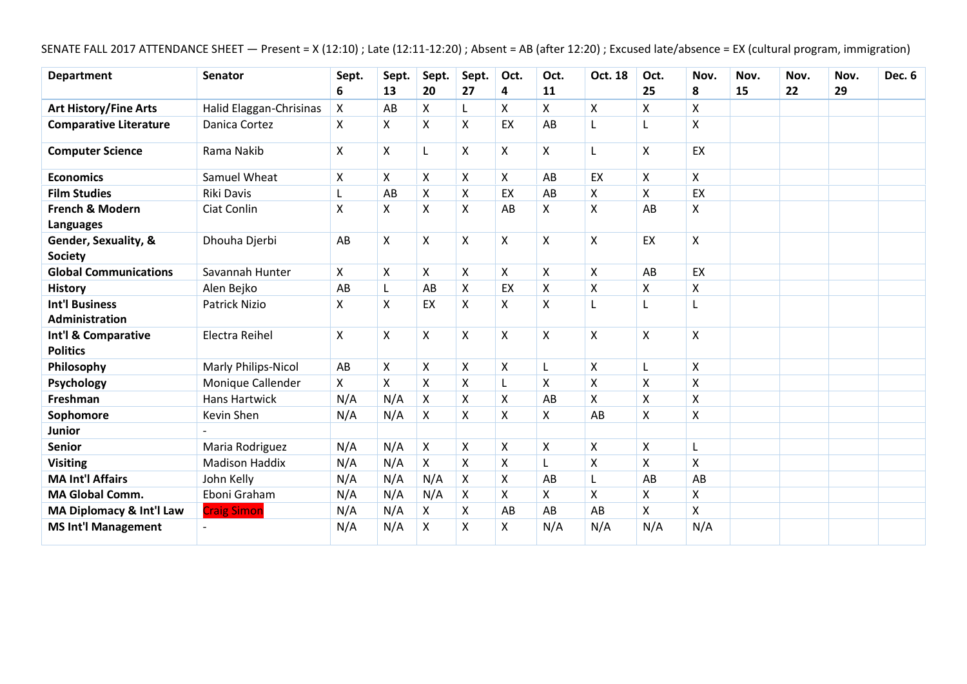|  |  | SENATE FALL 2017 ATTENDANCE SHEET - Present = X (12:10); Late (12:11-12:20); Absent = AB (after 12:20); Excused late/absence = EX (cultural program, immigration) |  |
|--|--|-------------------------------------------------------------------------------------------------------------------------------------------------------------------|--|
|--|--|-------------------------------------------------------------------------------------------------------------------------------------------------------------------|--|

| <b>Department</b>                              | <b>Senator</b>          | Sept. | Sept. | Sept.              | Sept.                     | Oct. | Oct.                      | Oct. 18            | Oct. | Nov.               | Nov. | Nov. | Nov. | Dec. 6 |
|------------------------------------------------|-------------------------|-------|-------|--------------------|---------------------------|------|---------------------------|--------------------|------|--------------------|------|------|------|--------|
|                                                |                         | 6     | 13    | 20                 | 27                        | 4    | 11                        |                    | 25   | 8                  | 15   | 22   | 29   |        |
| <b>Art History/Fine Arts</b>                   | Halid Elaggan-Chrisinas | X     | AB    | X                  | L                         | X    | X                         | Χ                  | X    | X                  |      |      |      |        |
| <b>Comparative Literature</b>                  | Danica Cortez           | X     | X     | Χ                  | X                         | EX   | AB                        |                    | L    | X                  |      |      |      |        |
| <b>Computer Science</b>                        | Rama Nakib              | Χ     | X     | L                  | $\boldsymbol{\mathsf{X}}$ | X    | X                         | L                  | X    | EX                 |      |      |      |        |
| <b>Economics</b>                               | Samuel Wheat            | Χ     | X     | Χ                  | X                         | X    | AB                        | EX                 | Χ    | X                  |      |      |      |        |
| <b>Film Studies</b>                            | Riki Davis              |       | AB    | $\pmb{\mathsf{X}}$ | $\mathsf X$               | EX   | AB                        | Χ                  | X    | EX                 |      |      |      |        |
| <b>French &amp; Modern</b><br><b>Languages</b> | Ciat Conlin             | Χ     | Χ     | $\pmb{\mathsf{X}}$ | $\mathsf X$               | AB   | Χ                         | Χ                  | AB   | Χ                  |      |      |      |        |
| Gender, Sexuality, &<br><b>Society</b>         | Dhouha Djerbi           | AB    | Χ     | Χ                  | $\mathsf X$               | X    | $\pmb{\times}$            | X                  | EX   | X                  |      |      |      |        |
| <b>Global Communications</b>                   | Savannah Hunter         | X     | Χ     | Χ                  | X                         | X    | $\boldsymbol{\mathsf{X}}$ | X                  | AB   | EX                 |      |      |      |        |
| <b>History</b>                                 | Alen Bejko              | AB    | Г     | AB                 | $\pmb{\mathsf{X}}$        | EX   | $\boldsymbol{\mathsf{X}}$ | $\pmb{\mathsf{X}}$ | Χ    | Χ                  |      |      |      |        |
| <b>Int'l Business</b><br><b>Administration</b> | Patrick Nizio           | X     | Χ     | EX                 | $\boldsymbol{\mathsf{X}}$ | X    | $\boldsymbol{\mathsf{X}}$ | L                  | L    | L                  |      |      |      |        |
| Int'l & Comparative<br><b>Politics</b>         | Electra Reihel          | Χ     | Χ     | $\pmb{\mathsf{X}}$ | $\boldsymbol{\mathsf{X}}$ | X    | $\boldsymbol{\mathsf{X}}$ | $\mathsf{\chi}$    | X    | X                  |      |      |      |        |
| Philosophy                                     | Marly Philips-Nicol     | AB    | X     | X                  | $\mathsf{x}$              | X    | L                         | Χ                  | L    | X                  |      |      |      |        |
| Psychology                                     | Monique Callender       | X     | X     | X                  | X                         | L    | X                         | Χ                  | X    | X                  |      |      |      |        |
| Freshman                                       | Hans Hartwick           | N/A   | N/A   | X                  | $\boldsymbol{\mathsf{X}}$ | X    | AB                        | X                  | X    | $\pmb{\mathsf{X}}$ |      |      |      |        |
| Sophomore                                      | Kevin Shen              | N/A   | N/A   | X                  | X                         | X    | X                         | AB                 | X    | X                  |      |      |      |        |
| <b>Junior</b>                                  |                         |       |       |                    |                           |      |                           |                    |      |                    |      |      |      |        |
| <b>Senior</b>                                  | Maria Rodriguez         | N/A   | N/A   | X                  | X                         | X    | X                         | Χ                  | X    | L                  |      |      |      |        |
| <b>Visiting</b>                                | <b>Madison Haddix</b>   | N/A   | N/A   | X                  | X                         | X    | L                         | X                  | X    | $\pmb{\mathsf{X}}$ |      |      |      |        |
| <b>MA Int'l Affairs</b>                        | John Kelly              | N/A   | N/A   | N/A                | X                         | X    | AB                        |                    | AB   | AB                 |      |      |      |        |
| <b>MA Global Comm.</b>                         | Eboni Graham            | N/A   | N/A   | N/A                | X                         | X    | X                         | X                  | X    | X                  |      |      |      |        |
| MA Diplomacy & Int'l Law                       | <b>Craig Simon</b>      | N/A   | N/A   | X                  | X                         | AB   | AB                        | AB                 | X    | X                  |      |      |      |        |
| <b>MS Int'l Management</b>                     |                         | N/A   | N/A   | Χ                  | X                         | X    | N/A                       | N/A                | N/A  | N/A                |      |      |      |        |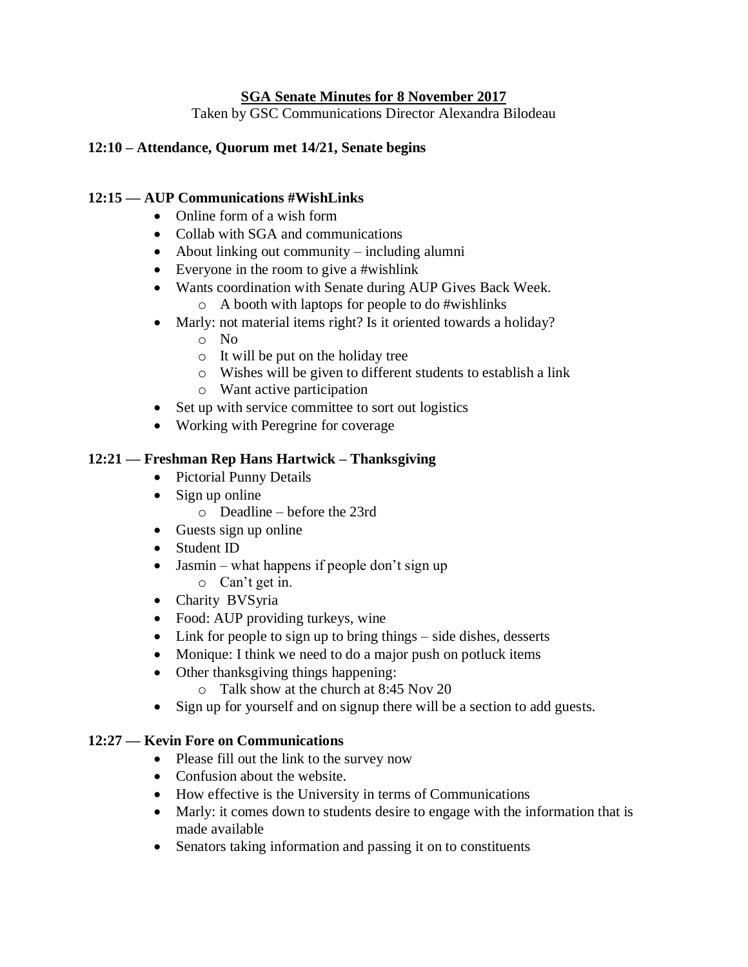#### **SGA Senate Minutes for 8 November 2017**

Taken by GSC Communications Director Alexandra Bilodeau

### **12:10 – Attendance, Quorum met 14/21, Senate begins**

#### **12:15 — AUP Communications #WishLinks**

- Online form of a wish form
- Collab with SGA and communications
- About linking out community including alumni
- Everyone in the room to give a #wishlink
- Wants coordination with Senate during AUP Gives Back Week.
	- o A booth with laptops for people to do #wishlinks
- Marly: not material items right? Is it oriented towards a holiday?
	- o No
	- o It will be put on the holiday tree
	- o Wishes will be given to different students to establish a link
	- o Want active participation
- Set up with service committee to sort out logistics
- Working with Peregrine for coverage

### **12:21 — Freshman Rep Hans Hartwick – Thanksgiving**

- Pictorial Punny Details
- Sign up online
	- o Deadline before the 23rd
- Guests sign up online
- Student ID
- Jasmin what happens if people don't sign up o Can't get in.
	-
- Charity BVSyria
- Food: AUP providing turkeys, wine
- Link for people to sign up to bring things side dishes, desserts
- Monique: I think we need to do a major push on potluck items
- Other thanksgiving things happening:
	- o Talk show at the church at 8:45 Nov 20
- Sign up for yourself and on signup there will be a section to add guests.

#### **12:27 — Kevin Fore on Communications**

- Please fill out the link to the survey now
- Confusion about the website.
- How effective is the University in terms of Communications
- Marly: it comes down to students desire to engage with the information that is made available
- Senators taking information and passing it on to constituents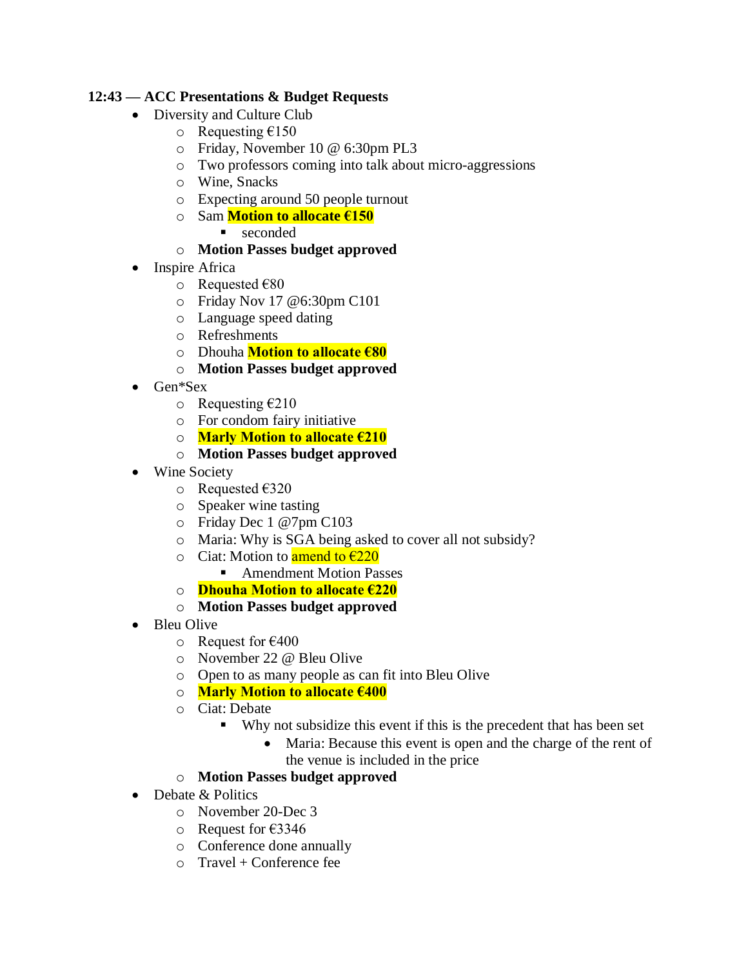## **12:43 — ACC Presentations & Budget Requests**

- Diversity and Culture Club
	- o Requesting  $£150$ 
		- o Friday, November 10 @ 6:30pm PL3
		- o Two professors coming into talk about micro-aggressions
		- o Wine, Snacks
	- o Expecting around 50 people turnout
	- o Sam **Motion to allocate €150**
		- seconded
	- o **Motion Passes budget approved**
- **Inspire Africa** 
	- o Requested €80
	- o Friday Nov 17 @6:30pm C101
	- o Language speed dating
	- o Refreshments
	- o Dhouha **Motion to allocate €80**
	- o **Motion Passes budget approved**
- Gen\*Sex
	- $\circ$  Requesting  $\epsilon$ 210
	- o For condom fairy initiative
	- o **Marly Motion to allocate €210**
	- o **Motion Passes budget approved**
- Wine Society
	- o Requested €320
	- o Speaker wine tasting
	- o Friday Dec 1 @7pm C103
	- o Maria: Why is SGA being asked to cover all not subsidy?
	- o Ciat: Motion to **amend to**  $\epsilon$ **220** 
		- Amendment Motion Passes
	- o **Dhouha Motion to allocate €220**
	- o **Motion Passes budget approved**
- Bleu Olive
	- $\circ$  Request for €400
	- o November 22 @ Bleu Olive
	- o Open to as many people as can fit into Bleu Olive
	- o **Marly Motion to allocate €400**
	- o Ciat: Debate
		- Why not subsidize this event if this is the precedent that has been set
			- Maria: Because this event is open and the charge of the rent of the venue is included in the price

# o **Motion Passes budget approved**

- Debate & Politics
	- o November 20-Dec 3
	- o Request for €3346
	- o Conference done annually
	- $\circ$  Travel + Conference fee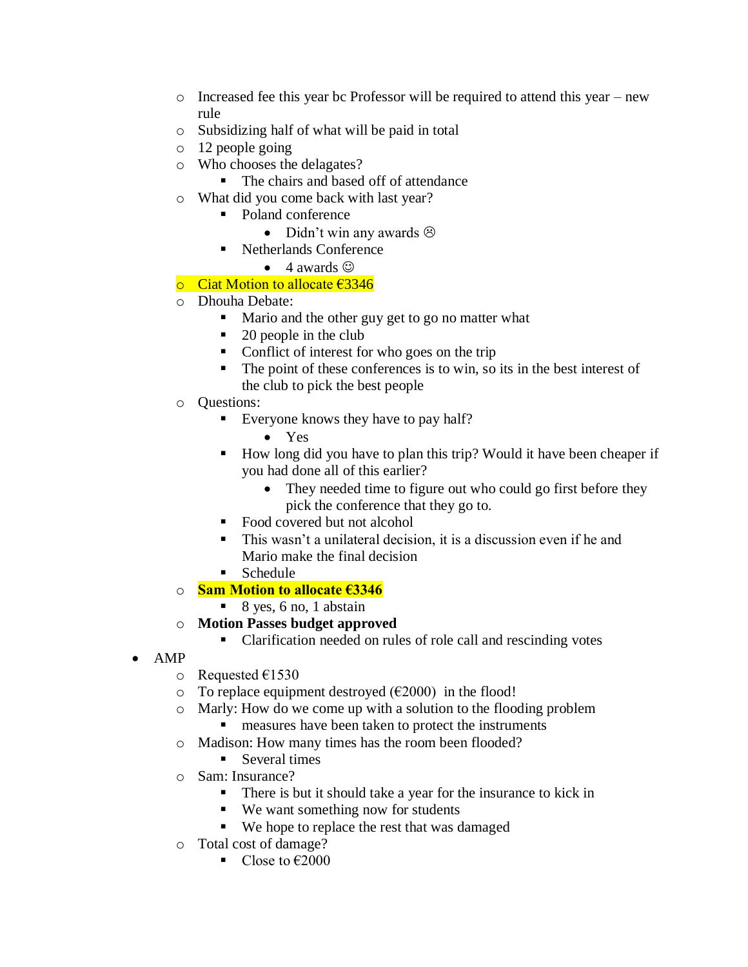- $\circ$  Increased fee this year bc Professor will be required to attend this year new rule
- o Subsidizing half of what will be paid in total
- o 12 people going
- o Who chooses the delagates?
	- The chairs and based off of attendance
- o What did you come back with last year?
	- Poland conference
		- Didn't win any awards  $\odot$
	- Netherlands Conference
		- $\bullet$  4 awards  $\odot$

# o Ciat Motion to allocate €3346

- o Dhouha Debate:
	- Mario and the other guy get to go no matter what
	- 20 people in the club
	- Conflict of interest for who goes on the trip
	- The point of these conferences is to win, so its in the best interest of the club to pick the best people
- o Questions:
	- Everyone knows they have to pay half?
		- Yes
	- How long did you have to plan this trip? Would it have been cheaper if you had done all of this earlier?
		- They needed time to figure out who could go first before they pick the conference that they go to.
	- Food covered but not alcohol
	- This wasn't a unilateral decision, it is a discussion even if he and Mario make the final decision
	- $\blacksquare$  Schedule
- o **Sam Motion to allocate €3346**
	- $\blacksquare$  8 yes, 6 no, 1 abstain
- o **Motion Passes budget approved** 
	- Clarification needed on rules of role call and rescinding votes
- AMP
	- o Requested €1530
	- $\circ$  To replace equipment destroyed ( $\epsilon$ 2000) in the flood!
	- o Marly: How do we come up with a solution to the flooding problem ■ measures have been taken to protect the instruments
	- o Madison: How many times has the room been flooded?
		- Several times
	- o Sam: Insurance?
		- There is but it should take a year for the insurance to kick in
		- We want something now for students
		- We hope to replace the rest that was damaged
	- o Total cost of damage?
		- Close to  $€2000$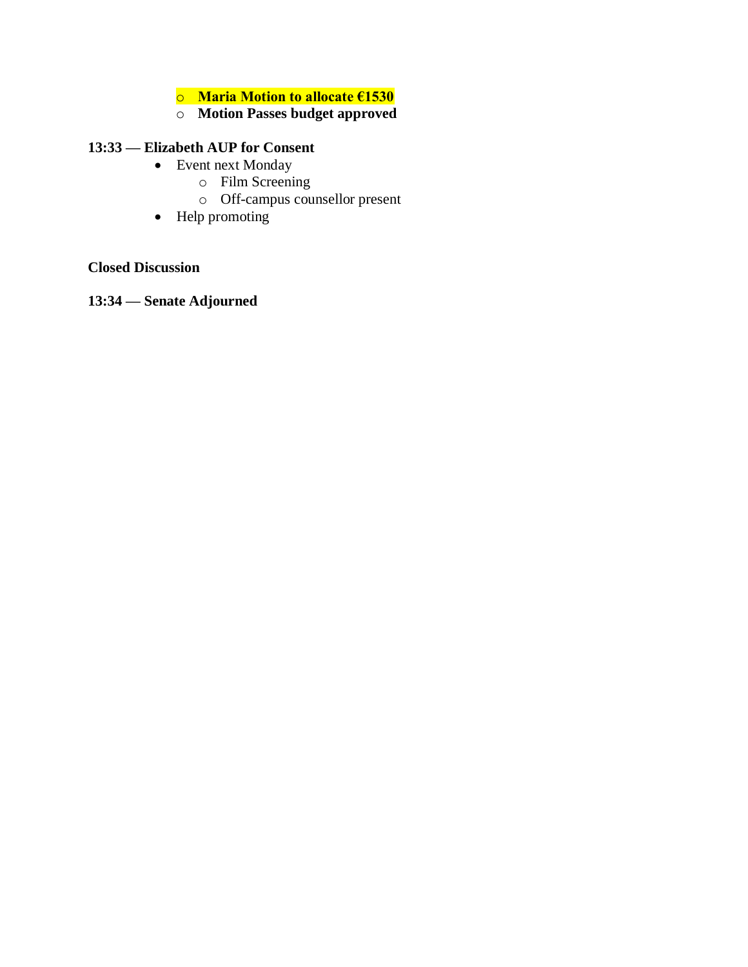### o **Maria Motion to allocate €1530**

# o **Motion Passes budget approved**

# **13:33 — Elizabeth AUP for Consent**

- Event next Monday
	- o Film Screening
	- o Off-campus counsellor present
- Help promoting

#### **Closed Discussion**

**13:34 — Senate Adjourned**